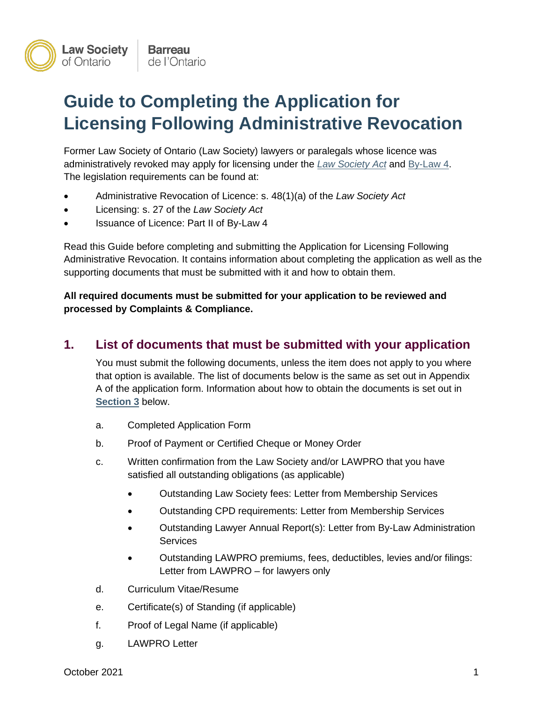

# **Guide to Completing the Application for Licensing Following Administrative Revocation**

Former Law Society of Ontario (Law Society) lawyers or paralegals whose licence was administratively revoked may apply for licensing under the *[Law Society Act](https://www.lso.ca/about-LSO/Legislation-Rules/By-Laws/By-Law-4)* and [By-Law 4.](https://lso.ca/about-lso/legislation-rules/by-laws/by-law-4) The legislation requirements can be found at:

- Administrative Revocation of Licence: s. 48(1)(a) of the *Law Society Act*
- Licensing: s. 27 of the *Law Society Act*
- Issuance of Licence: Part II of By-Law 4

Read this Guide before completing and submitting the Application for Licensing Following Administrative Revocation. It contains information about completing the application as well as the supporting documents that must be submitted with it and how to obtain them.

**All required documents must be submitted for your application to be reviewed and processed by Complaints & Compliance.** 

### **1. List of documents that must be submitted with your application**

You must submit the following documents, unless the item does not apply to you where that option is available. The list of documents below is the same as set out in Appendix A of the application form. Information about how to obtain the documents is set out in **[Section 3](#page-2-0)** below.

- a. Completed Application Form
- b. Proof of Payment or Certified Cheque or Money Order
- c. Written confirmation from the Law Society and/or LAWPRO that you have satisfied all outstanding obligations (as applicable)
	- Outstanding Law Society fees: Letter from Membership Services
	- Outstanding CPD requirements: Letter from Membership Services
	- Outstanding Lawyer Annual Report(s): Letter from By-Law Administration **Services**
	- Outstanding LAWPRO premiums, fees, deductibles, levies and/or filings: Letter from LAWPRO – for lawyers only
- d. Curriculum Vitae/Resume
- e. Certificate(s) of Standing (if applicable)
- f. Proof of Legal Name (if applicable)
- g. LAWPRO Letter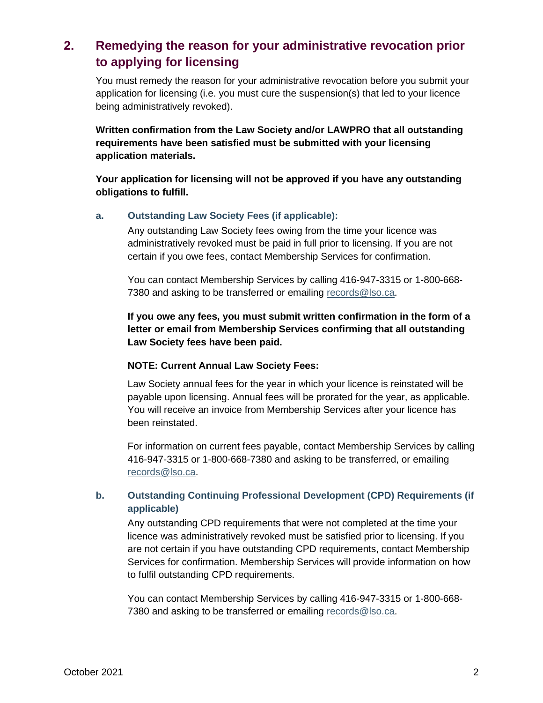# <span id="page-1-0"></span>**2. Remedying the reason for your administrative revocation prior to applying for licensing**

You must remedy the reason for your administrative revocation before you submit your application for licensing (i.e. you must cure the suspension(s) that led to your licence being administratively revoked).

**Written confirmation from the Law Society and/or LAWPRO that all outstanding requirements have been satisfied must be submitted with your licensing application materials.**

**Your application for licensing will not be approved if you have any outstanding obligations to fulfill.**

#### **a. Outstanding Law Society Fees (if applicable):**

Any outstanding Law Society fees owing from the time your licence was administratively revoked must be paid in full prior to licensing. If you are not certain if you owe fees, contact Membership Services for confirmation.

You can contact Membership Services by calling 416-947-3315 or 1-800-668 7380 and asking to be transferred or emailing [records@lso.ca.](mailto:records@lso.ca)

**If you owe any fees, you must submit written confirmation in the form of a letter or email from Membership Services confirming that all outstanding Law Society fees have been paid.**

#### **NOTE: Current Annual Law Society Fees:**

Law Society annual fees for the year in which your licence is reinstated will be payable upon licensing. Annual fees will be prorated for the year, as applicable. You will receive an invoice from Membership Services after your licence has been reinstated.

For information on current fees payable, contact Membership Services by calling 416-947-3315 or 1-800-668-7380 and asking to be transferred, or emailing [records@lso.ca.](mailto:records@lso.ca)

#### **b. Outstanding Continuing Professional Development (CPD) Requirements (if applicable)**

Any outstanding CPD requirements that were not completed at the time your licence was administratively revoked must be satisfied prior to licensing. If you are not certain if you have outstanding CPD requirements, contact Membership Services for confirmation. Membership Services will provide information on how to fulfil outstanding CPD requirements.

You can contact Membership Services by calling 416-947-3315 or 1-800-668- 7380 and asking to be transferred or emailing [records@lso.ca.](mailto:records@lso.ca)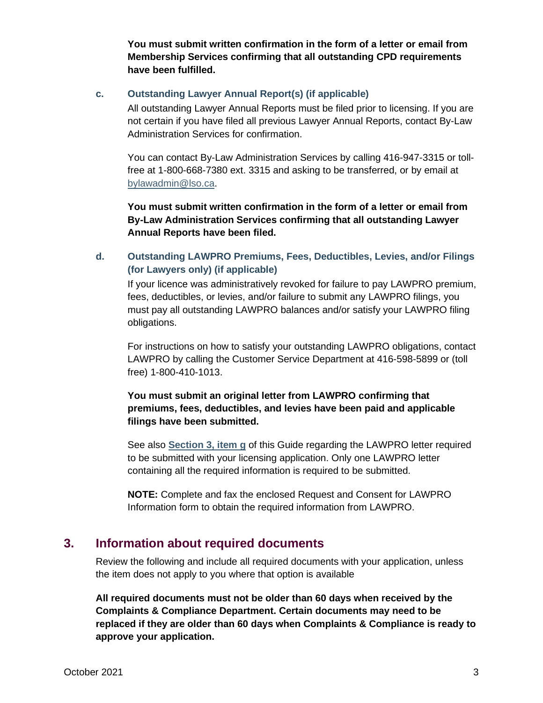**You must submit written confirmation in the form of a letter or email from Membership Services confirming that all outstanding CPD requirements have been fulfilled.** 

#### **c. Outstanding Lawyer Annual Report(s) (if applicable)**

All outstanding Lawyer Annual Reports must be filed prior to licensing. If you are not certain if you have filed all previous Lawyer Annual Reports, contact By-Law Administration Services for confirmation.

You can contact By-Law Administration Services by calling 416-947-3315 or tollfree at 1-800-668-7380 ext. 3315 and asking to be transferred, or by email at [bylawadmin@lso.ca.](mailto:bylawadmin@lso.ca)

**You must submit written confirmation in the form of a letter or email from By-Law Administration Services confirming that all outstanding Lawyer Annual Reports have been filed.**

#### **d. Outstanding LAWPRO Premiums, Fees, Deductibles, Levies, and/or Filings (for Lawyers only) (if applicable)**

If your licence was administratively revoked for failure to pay LAWPRO premium, fees, deductibles, or levies, and/or failure to submit any LAWPRO filings, you must pay all outstanding LAWPRO balances and/or satisfy your LAWPRO filing obligations.

For instructions on how to satisfy your outstanding LAWPRO obligations, contact LAWPRO by calling the Customer Service Department at 416-598-5899 or (toll free) 1-800-410-1013.

#### **You must submit an original letter from LAWPRO confirming that premiums, fees, deductibles, and levies have been paid and applicable filings have been submitted.**

See also **[Section 3, item g](#page-4-0)** of this Guide regarding the LAWPRO letter required to be submitted with your licensing application. Only one LAWPRO letter containing all the required information is required to be submitted.

**NOTE:** Complete and fax the enclosed Request and Consent for LAWPRO Information form to obtain the required information from LAWPRO.

### <span id="page-2-0"></span>**3. Information about required documents**

Review the following and include all required documents with your application, unless the item does not apply to you where that option is available

**All required documents must not be older than 60 days when received by the Complaints & Compliance Department. Certain documents may need to be replaced if they are older than 60 days when Complaints & Compliance is ready to approve your application.**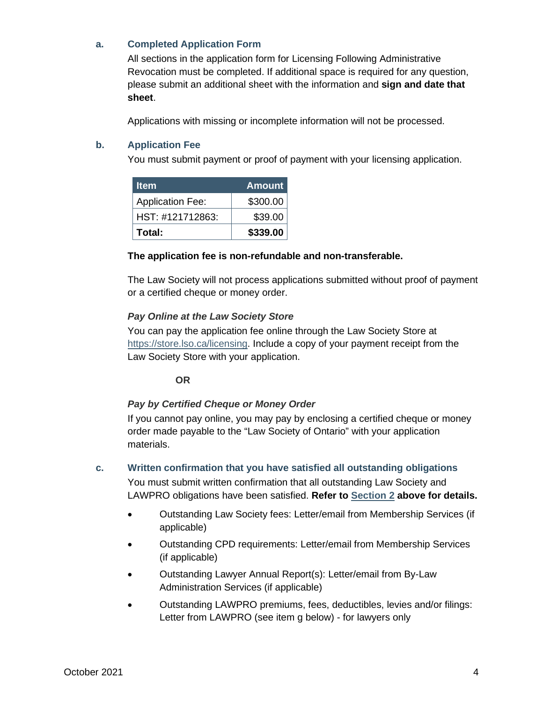#### **a. Completed Application Form**

All sections in the application form for Licensing Following Administrative Revocation must be completed. If additional space is required for any question, please submit an additional sheet with the information and **sign and date that sheet**.

Applications with missing or incomplete information will not be processed.

#### **b. Application Fee**

You must submit payment or proof of payment with your licensing application.

| <b>Item</b>             | <b>Amount</b> |
|-------------------------|---------------|
| <b>Application Fee:</b> | \$300.00      |
| HST: #121712863:        | \$39.00       |
| Total:                  | \$339.00      |

#### **The application fee is non-refundable and non-transferable.**

The Law Society will not process applications submitted without proof of payment or a certified cheque or money order.

#### *Pay Online at the Law Society Store*

You can pay the application fee online through the Law Society Store at [https://store.lso.ca/licensing.](https://store.lso.ca/licensing) Include a copy of your payment receipt from the Law Society Store with your application.

#### **OR**

#### *Pay by Certified Cheque or Money Order*

If you cannot pay online, you may pay by enclosing a certified cheque or money order made payable to the "Law Society of Ontario" with your application materials.

#### **c. Written confirmation that you have satisfied all outstanding obligations**

You must submit written confirmation that all outstanding Law Society and LAWPRO obligations have been satisfied. **Refer to [Section 2](#page-1-0) above for details.**

- Outstanding Law Society fees: Letter/email from Membership Services (if applicable)
- Outstanding CPD requirements: Letter/email from Membership Services (if applicable)
- Outstanding Lawyer Annual Report(s): Letter/email from By-Law Administration Services (if applicable)
- Outstanding LAWPRO premiums, fees, deductibles, levies and/or filings: Letter from LAWPRO (see item g below) - for lawyers only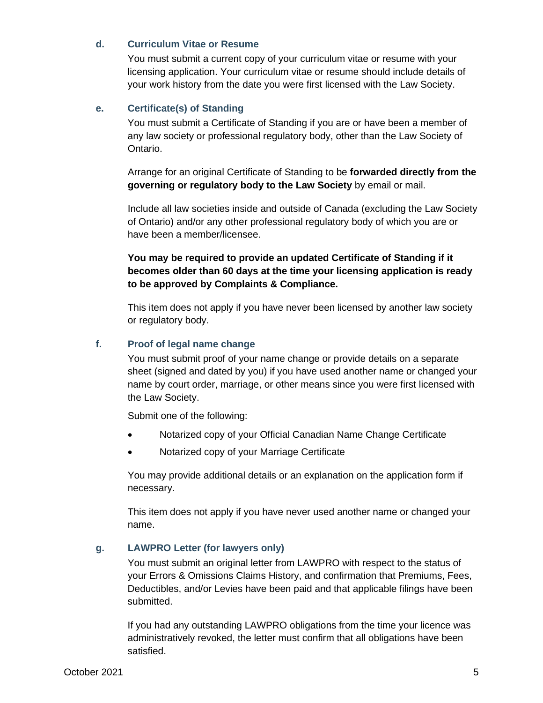#### **d. Curriculum Vitae or Resume**

You must submit a current copy of your curriculum vitae or resume with your licensing application. Your curriculum vitae or resume should include details of your work history from the date you were first licensed with the Law Society.

#### **e. Certificate(s) of Standing**

You must submit a Certificate of Standing if you are or have been a member of any law society or professional regulatory body, other than the Law Society of Ontario.

Arrange for an original Certificate of Standing to be **forwarded directly from the governing or regulatory body to the Law Society** by email or mail.

Include all law societies inside and outside of Canada (excluding the Law Society of Ontario) and/or any other professional regulatory body of which you are or have been a member/licensee.

#### **You may be required to provide an updated Certificate of Standing if it becomes older than 60 days at the time your licensing application is ready to be approved by Complaints & Compliance.**

This item does not apply if you have never been licensed by another law society or regulatory body.

#### **f. Proof of legal name change**

You must submit proof of your name change or provide details on a separate sheet (signed and dated by you) if you have used another name or changed your name by court order, marriage, or other means since you were first licensed with the Law Society.

Submit one of the following:

- Notarized copy of your Official Canadian Name Change Certificate
- Notarized copy of your Marriage Certificate

You may provide additional details or an explanation on the application form if necessary.

This item does not apply if you have never used another name or changed your name.

#### <span id="page-4-0"></span>**g. LAWPRO Letter (for lawyers only)**

You must submit an original letter from LAWPRO with respect to the status of your Errors & Omissions Claims History, and confirmation that Premiums, Fees, Deductibles, and/or Levies have been paid and that applicable filings have been submitted.

If you had any outstanding LAWPRO obligations from the time your licence was administratively revoked, the letter must confirm that all obligations have been satisfied.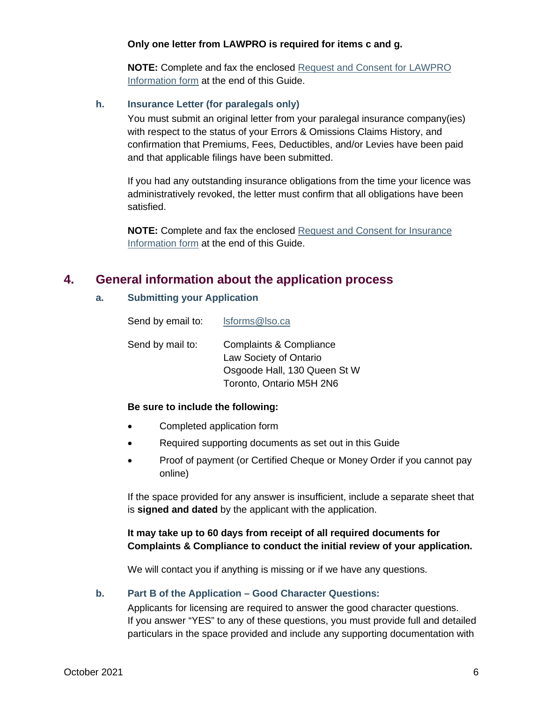#### **Only one letter from LAWPRO is required for items c and g.**

**NOTE:** Complete and fax the enclosed [Request and Consent for LAWPRO](#page-7-0)  [Information form](#page-7-0) at the end of this Guide.

#### **h. Insurance Letter (for paralegals only)**

You must submit an original letter from your paralegal insurance company(ies) with respect to the status of your Errors & Omissions Claims History, and confirmation that Premiums, Fees, Deductibles, and/or Levies have been paid and that applicable filings have been submitted.

If you had any outstanding insurance obligations from the time your licence was administratively revoked, the letter must confirm that all obligations have been satisfied.

**NOTE:** Complete and fax the enclosed [Request and Consent for Insurance](#page-8-0)  [Information form](#page-8-0) at the end of this Guide.

### **4. General information about the application process**

#### **a. Submitting your Application**

| Send by email to: | Isforms@Iso.ca                                                                                                           |
|-------------------|--------------------------------------------------------------------------------------------------------------------------|
| Send by mail to:  | <b>Complaints &amp; Compliance</b><br>Law Society of Ontario<br>Osgoode Hall, 130 Queen St W<br>Toronto, Ontario M5H 2N6 |

#### **Be sure to include the following:**

- Completed application form
- Required supporting documents as set out in this Guide
- Proof of payment (or Certified Cheque or Money Order if you cannot pay online)

If the space provided for any answer is insufficient, include a separate sheet that is **signed and dated** by the applicant with the application.

#### **It may take up to 60 days from receipt of all required documents for Complaints & Compliance to conduct the initial review of your application.**

We will contact you if anything is missing or if we have any questions.

#### **b. Part B of the Application – Good Character Questions:**

Applicants for licensing are required to answer the good character questions. If you answer "YES" to any of these questions, you must provide full and detailed particulars in the space provided and include any supporting documentation with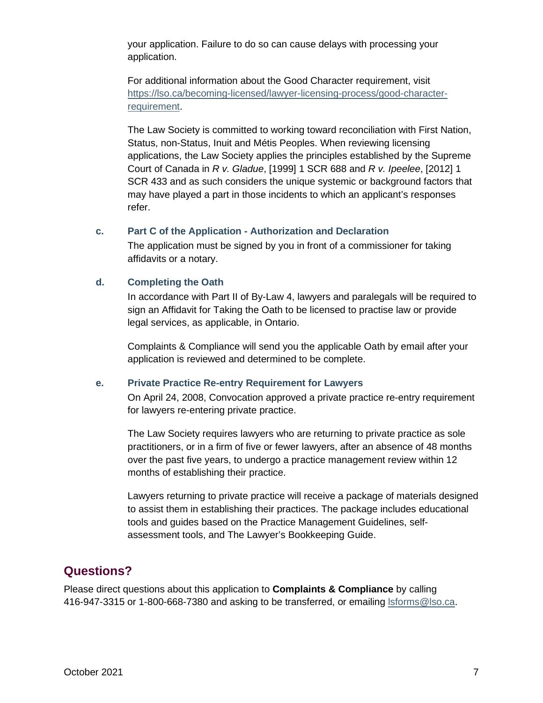your application. Failure to do so can cause delays with processing your application.

For additional information about the Good Character requirement, visit [https://lso.ca/becoming-licensed/lawyer-licensing-process/good-character](https://lso.ca/becoming-licensed/lawyer-licensing-process/good-character-requirement)[requirement.](https://lso.ca/becoming-licensed/lawyer-licensing-process/good-character-requirement)

The Law Society is committed to working toward reconciliation with First Nation, Status, non-Status, Inuit and Métis Peoples. When reviewing licensing applications, the Law Society applies the principles established by the Supreme Court of Canada in *R v. Gladue*, [1999] 1 SCR 688 and *R v. Ipeelee*, [2012] 1 SCR 433 and as such considers the unique systemic or background factors that may have played a part in those incidents to which an applicant's responses refer.

#### **c. Part C of the Application - Authorization and Declaration**

The application must be signed by you in front of a commissioner for taking affidavits or a notary.

#### **d. Completing the Oath**

In accordance with Part II of By-Law 4, lawyers and paralegals will be required to sign an Affidavit for Taking the Oath to be licensed to practise law or provide legal services, as applicable, in Ontario.

Complaints & Compliance will send you the applicable Oath by email after your application is reviewed and determined to be complete.

#### **e. Private Practice Re-entry Requirement for Lawyers**

On April 24, 2008, Convocation approved a private practice re-entry requirement for lawyers re-entering private practice.

The Law Society requires lawyers who are returning to private practice as sole practitioners, or in a firm of five or fewer lawyers, after an absence of 48 months over the past five years, to undergo a practice management review within 12 months of establishing their practice.

Lawyers returning to private practice will receive a package of materials designed to assist them in establishing their practices. The package includes educational tools and guides based on the Practice Management Guidelines, selfassessment tools, and The Lawyer's Bookkeeping Guide.

## **Questions?**

Please direct questions about this application to **Complaints & Compliance** by calling 416-947-3315 or 1-800-668-7380 and asking to be transferred, or emailing [lsforms@lso.ca.](mailto:lsforms@lso.ca)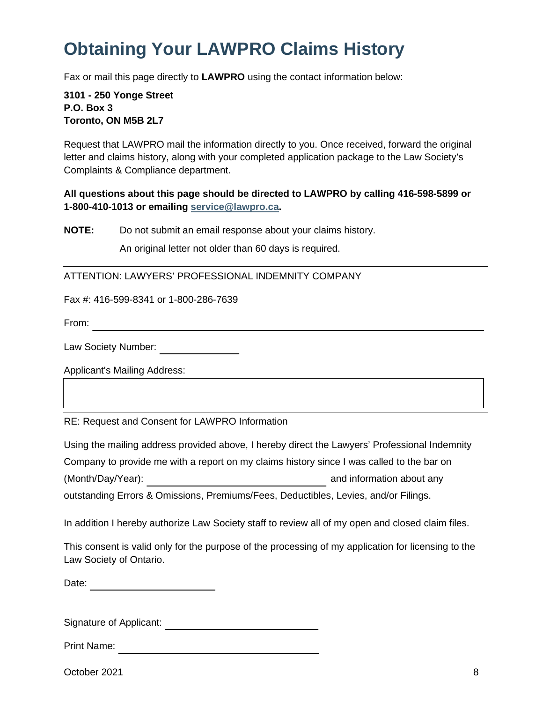# <span id="page-7-0"></span>**Obtaining Your LAWPRO Claims History**

Fax or mail this page directly to **LAWPRO** using the contact information below:

**3101 - 250 Yonge Street P.O. Box 3 Toronto, ON M5B 2L7**

Request that LAWPRO mail the information directly to you. Once received, forward the original letter and claims history, along with your completed application package to the Law Society's Complaints & Compliance department.

#### **All questions about this page should be directed to LAWPRO by calling 416-598-5899 or 1-800-410-1013 or emailing [service@lawpro.ca.](mailto:service@lawpro.ca)**

**NOTE:** Do not submit an email response about your claims history.

An original letter not older than 60 days is required.

ATTENTION: LAWYERS' PROFESSIONAL INDEMNITY COMPANY

Fax #: 416-599-8341 or 1-800-286-7639

From:

Law Society Number:

Applicant's Mailing Address:

RE: Request and Consent for LAWPRO Information

Using the mailing address provided above, I hereby direct the Lawyers' Professional Indemnity Company to provide me with a report on my claims history since I was called to the bar on (Month/Day/Year): and information about any outstanding Errors & Omissions, Premiums/Fees, Deductibles, Levies, and/or Filings.

In addition I hereby authorize Law Society staff to review all of my open and closed claim files.

This consent is valid only for the purpose of the processing of my application for licensing to the Law Society of Ontario.

Date: and the contract of the contract of the contract of the contract of the contract of the contract of the contract of the contract of the contract of the contract of the contract of the contract of the contract of the

Signature of Applicant:

Print Name:

October 2021 8